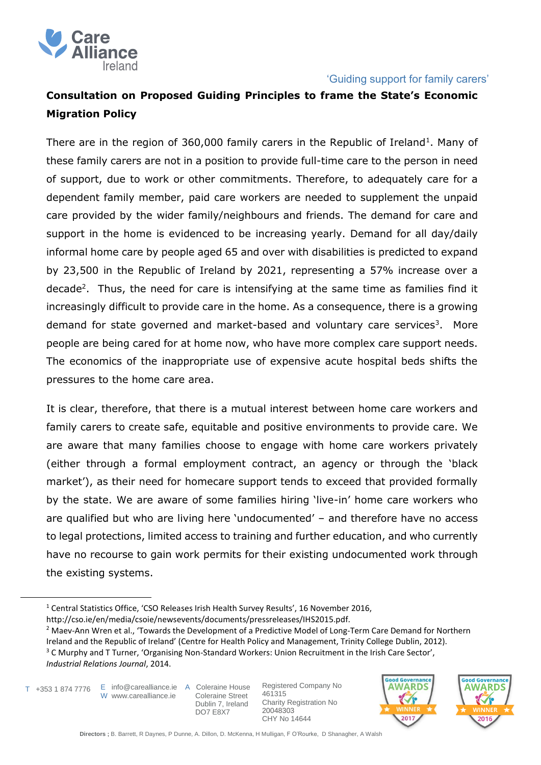

# **Consultation on Proposed Guiding Principles to frame the State's Economic Migration Policy**

There are in the region of 360,000 family carers in the Republic of Ireland<sup>1</sup>. Many of these family carers are not in a position to provide full-time care to the person in need of support, due to work or other commitments. Therefore, to adequately care for a dependent family member, paid care workers are needed to supplement the unpaid care provided by the wider family/neighbours and friends. The demand for care and support in the home is evidenced to be increasing yearly. Demand for all day/daily informal home care by people aged 65 and over with disabilities is predicted to expand by 23,500 in the Republic of Ireland by 2021, representing a 57% increase over a decade<sup>2</sup>. Thus, the need for care is intensifying at the same time as families find it increasingly difficult to provide care in the home. As a consequence, there is a growing demand for state governed and market-based and voluntary care services<sup>3</sup>. More people are being cared for at home now, who have more complex care support needs. The economics of the inappropriate use of expensive acute hospital beds shifts the pressures to the home care area.

It is clear, therefore, that there is a mutual interest between home care workers and family carers to create safe, equitable and positive environments to provide care. We are aware that many families choose to engage with home care workers privately (either through a formal employment contract, an agency or through the 'black market'), as their need for homecare support tends to exceed that provided formally by the state. We are aware of some families hiring 'live-in' home care workers who are qualified but who are living here 'undocumented' – and therefore have no access to legal protections, limited access to training and further education, and who currently have no recourse to gain work permits for their existing undocumented work through the existing systems.

 $\overline{a}$ 

 Coleraine Street Dublin 7, Ireland DO7 E8X7





<sup>&</sup>lt;sup>1</sup> Central Statistics Office, 'CSO Releases Irish Health Survey Results', 16 November 2016,

http://cso.ie/en/media/csoie/newsevents/documents/pressreleases/IHS2015.pdf.

<sup>&</sup>lt;sup>2</sup> Maev-Ann Wren et al., 'Towards the Development of a Predictive Model of Long-Term Care Demand for Northern Ireland and the Republic of Ireland' (Centre for Health Policy and Management, Trinity College Dublin, 2012). <sup>3</sup> C Murphy and T Turner, 'Organising Non-Standard Workers: Union Recruitment in the Irish Care Sector', *Industrial Relations Journal*, 2014.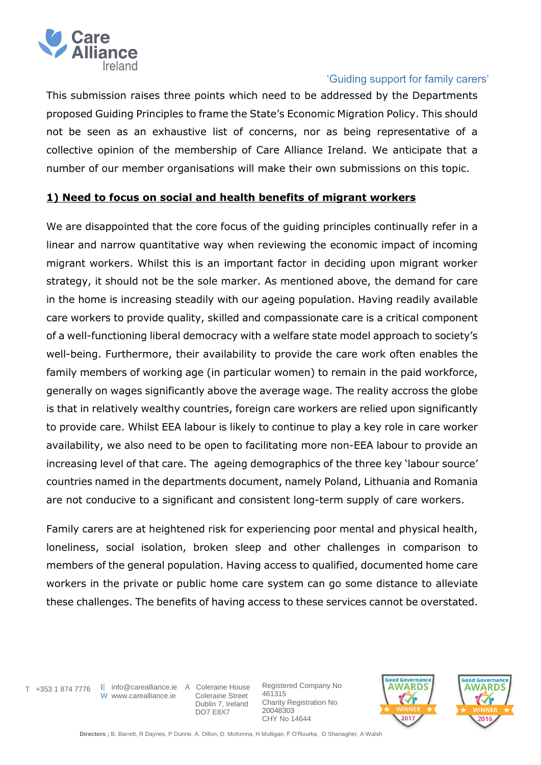

This submission raises three points which need to be addressed by the Departments proposed Guiding Principles to frame the State's Economic Migration Policy. This should not be seen as an exhaustive list of concerns, nor as being representative of a collective opinion of the membership of Care Alliance Ireland. We anticipate that a number of our member organisations will make their own submissions on this topic.

# **1) Need to focus on social and health benefits of migrant workers**

We are disappointed that the core focus of the guiding principles continually refer in a linear and narrow quantitative way when reviewing the economic impact of incoming migrant workers. Whilst this is an important factor in deciding upon migrant worker strategy, it should not be the sole marker. As mentioned above, the demand for care in the home is increasing steadily with our ageing population. Having readily available care workers to provide quality, skilled and compassionate care is a critical component of a well-functioning liberal democracy with a welfare state model approach to society's well-being. Furthermore, their availability to provide the care work often enables the family members of working age (in particular women) to remain in the paid workforce, generally on wages significantly above the average wage. The reality accross the globe is that in relatively wealthy countries, foreign care workers are relied upon significantly to provide care. Whilst EEA labour is likely to continue to play a key role in care worker availability, we also need to be open to facilitating more non-EEA labour to provide an increasing level of that care. The ageing demographics of the three key 'labour source' countries named in the departments document, namely Poland, Lithuania and Romania are not conducive to a significant and consistent long-term supply of care workers.

Family carers are at heightened risk for experiencing poor mental and physical health, loneliness, social isolation, broken sleep and other challenges in comparison to members of the general population. Having access to qualified, documented home care workers in the private or public home care system can go some distance to alleviate these challenges. The benefits of having access to these services cannot be overstated.

W www.carealliance.ie

T +353 1 874 7776 E info@carealliance.ie A Coleraine House Coleraine Street Dublin 7, Ireland DO7 E8X7



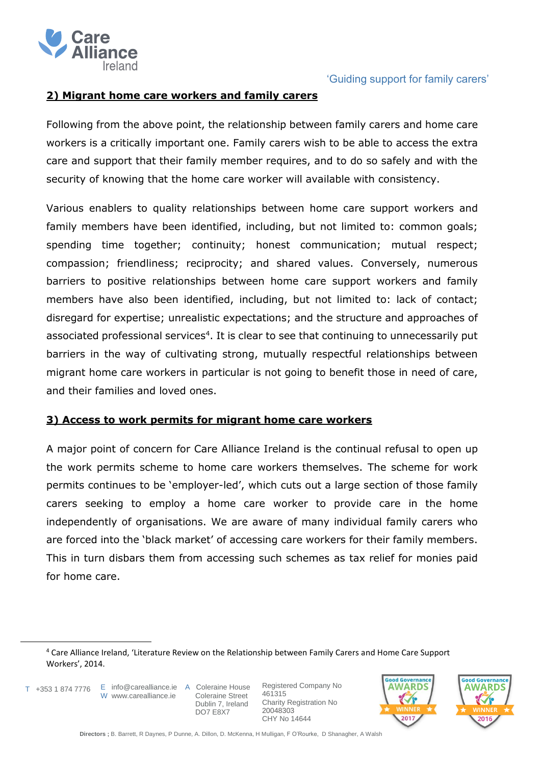

### **2) Migrant home care workers and family carers**

Following from the above point, the relationship between family carers and home care workers is a critically important one. Family carers wish to be able to access the extra care and support that their family member requires, and to do so safely and with the security of knowing that the home care worker will available with consistency.

Various enablers to quality relationships between home care support workers and family members have been identified, including, but not limited to: common goals; spending time together; continuity; honest communication; mutual respect; compassion; friendliness; reciprocity; and shared values. Conversely, numerous barriers to positive relationships between home care support workers and family members have also been identified, including, but not limited to: lack of contact; disregard for expertise; unrealistic expectations; and the structure and approaches of associated professional services<sup>4</sup>. It is clear to see that continuing to unnecessarily put barriers in the way of cultivating strong, mutually respectful relationships between migrant home care workers in particular is not going to benefit those in need of care, and their families and loved ones.

#### **3) Access to work permits for migrant home care workers**

A major point of concern for Care Alliance Ireland is the continual refusal to open up the work permits scheme to home care workers themselves. The scheme for work permits continues to be 'employer-led', which cuts out a large section of those family carers seeking to employ a home care worker to provide care in the home independently of organisations. We are aware of many individual family carers who are forced into the 'black market' of accessing care workers for their family members. This in turn disbars them from accessing such schemes as tax relief for monies paid for home care.

 $\overline{a}$ 

 Coleraine Street Dublin 7, Ireland DO7 E8X7





<sup>4</sup> Care Alliance Ireland, 'Literature Review on the Relationship between Family Carers and Home Care Support Workers', 2014.